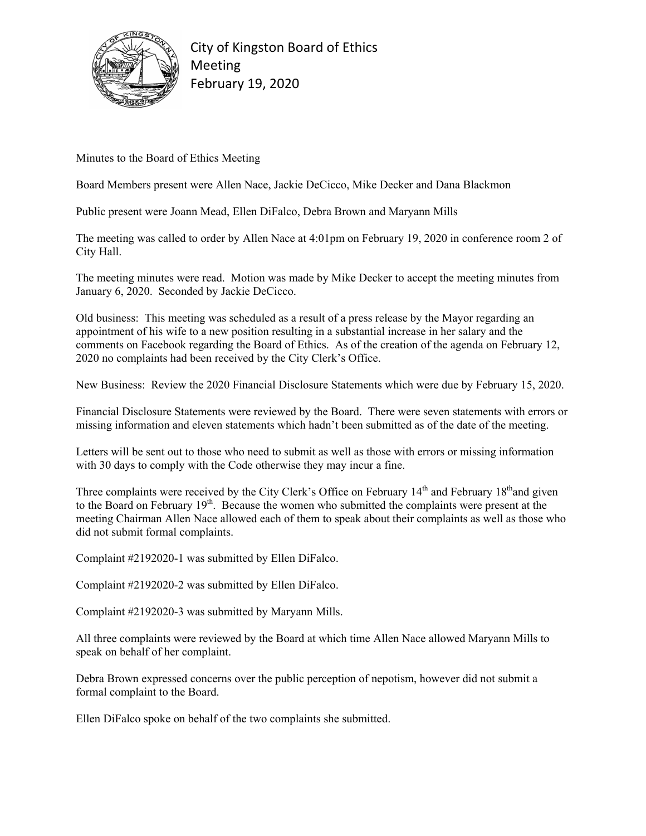

City of Kingston Board of Ethics Meeting February 19, 2020

Minutes to the Board of Ethics Meeting

Board Members present were Allen Nace, Jackie DeCicco, Mike Decker and Dana Blackmon

Public present were Joann Mead, Ellen DiFalco, Debra Brown and Maryann Mills

The meeting was called to order by Allen Nace at 4:01pm on February 19, 2020 in conference room 2 of City Hall.

The meeting minutes were read. Motion was made by Mike Decker to accept the meeting minutes from January 6, 2020. Seconded by Jackie DeCicco.

Old business: This meeting was scheduled as a result of a press release by the Mayor regarding an appointment of his wife to a new position resulting in a substantial increase in her salary and the comments on Facebook regarding the Board of Ethics. As of the creation of the agenda on February 12, 2020 no complaints had been received by the City Clerk's Office.

New Business: Review the 2020 Financial Disclosure Statements which were due by February 15, 2020.

Financial Disclosure Statements were reviewed by the Board. There were seven statements with errors or missing information and eleven statements which hadn't been submitted as of the date of the meeting.

Letters will be sent out to those who need to submit as well as those with errors or missing information with 30 days to comply with the Code otherwise they may incur a fine.

Three complaints were received by the City Clerk's Office on February 14<sup>th</sup> and February 18<sup>th</sup>and given to the Board on February 19<sup>th</sup>. Because the women who submitted the complaints were present at the meeting Chairman Allen Nace allowed each of them to speak about their complaints as well as those who did not submit formal complaints.

Complaint #2192020-1 was submitted by Ellen DiFalco.

Complaint #2192020-2 was submitted by Ellen DiFalco.

Complaint #2192020-3 was submitted by Maryann Mills.

All three complaints were reviewed by the Board at which time Allen Nace allowed Maryann Mills to speak on behalf of her complaint.

Debra Brown expressed concerns over the public perception of nepotism, however did not submit a formal complaint to the Board.

Ellen DiFalco spoke on behalf of the two complaints she submitted.